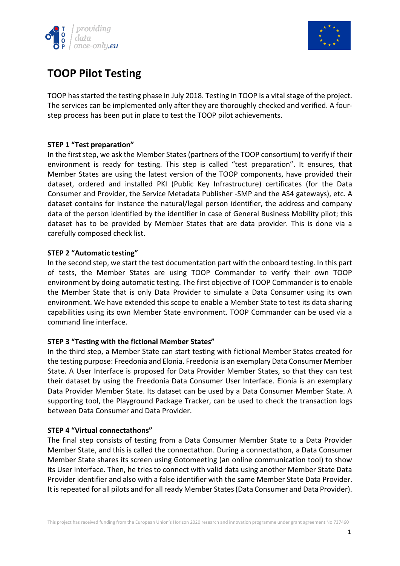



# **TOOP Pilot Testing**

TOOP has started the testing phase in July 2018. Testing in TOOP is a vital stage of the project. The services can be implemented only after they are thoroughly checked and verified. A fourstep process has been put in place to test the TOOP pilot achievements.

### **STEP 1 "Test preparation"**

In the first step, we ask the Member States (partners of the TOOP consortium) to verify if their environment is ready for testing. This step is called "test preparation". It ensures, that Member States are using the latest version of the TOOP components, have provided their dataset, ordered and installed PKI (Public Key Infrastructure) certificates (for the Data Consumer and Provider, the Service Metadata Publisher -SMP and the AS4 gateways), etc. A dataset contains for instance the natural/legal person identifier, the address and company data of the person identified by the identifier in case of General Business Mobility pilot; this dataset has to be provided by Member States that are data provider. This is done via a carefully composed check list.

#### **STEP 2 "Automatic testing"**

In the second step, we start the test documentation part with the onboard testing. In this part of tests, the Member States are using TOOP Commander to verify their own TOOP environment by doing automatic testing. The first objective of TOOP Commander is to enable the Member State that is only Data Provider to simulate a Data Consumer using its own environment. We have extended this scope to enable a Member State to test its data sharing capabilities using its own Member State environment. TOOP Commander can be used via a command line interface.

#### **STEP 3 "Testing with the fictional Member States"**

In the third step, a Member State can start testing with fictional Member States created for the testing purpose: Freedonia and Elonia. Freedonia is an exemplary Data Consumer Member State. A User Interface is proposed for Data Provider Member States, so that they can test their dataset by using the Freedonia Data Consumer User Interface. Elonia is an exemplary Data Provider Member State. Its dataset can be used by a Data Consumer Member State. A supporting tool, the Playground Package Tracker, can be used to check the transaction logs between Data Consumer and Data Provider.

#### **STEP 4 "Virtual connectathons"**

The final step consists of testing from a Data Consumer Member State to a Data Provider Member State, and this is called the connectathon. During a connectathon, a Data Consumer Member State shares its screen using Gotomeeting (an online communication tool) to show its User Interface. Then, he tries to connect with valid data using another Member State Data Provider identifier and also with a false identifier with the same Member State Data Provider. It is repeated for all pilots and for all ready Member States (Data Consumer and Data Provider).